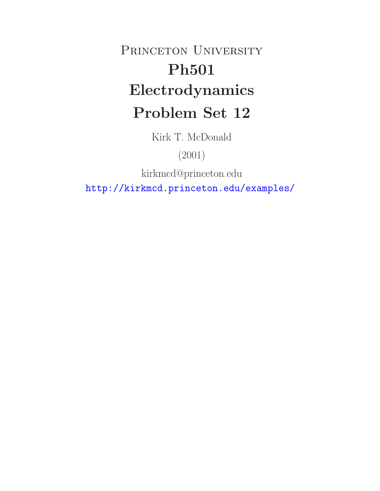# PRINCETON UNIVERSITY **Ph501 Electrodynamics Problem Set 12**

Kirk T. McDonald

(2001)

kirkmcd@princeton.edu

http://kirkmcd.princeton.edu/examples/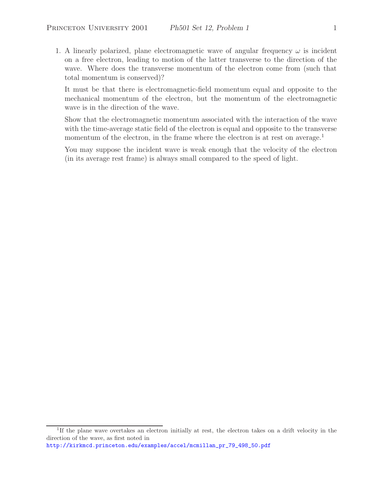1. A linearly polarized, plane electromagnetic wave of angular frequency  $\omega$  is incident on a free electron, leading to motion of the latter transverse to the direction of the wave. Where does the transverse momentum of the electron come from (such that total momentum is conserved)?

It must be that there is electromagnetic-field momentum equal and opposite to the mechanical momentum of the electron, but the momentum of the electromagnetic wave is in the direction of the wave.

Show that the electromagnetic momentum associated with the interaction of the wave with the time-average static field of the electron is equal and opposite to the transverse momentum of the electron, in the frame where the electron is at rest on average.<sup>1</sup>

You may suppose the incident wave is weak enough that the velocity of the electron (in its average rest frame) is always small compared to the speed of light.

http://kirkmcd.princeton.edu/examples/accel/mcmillan\_pr\_79\_498\_50.pdf

<sup>&</sup>lt;sup>1</sup>If the plane wave overtakes an electron initially at rest, the electron takes on a drift velocity in the direction of the wave, as first noted in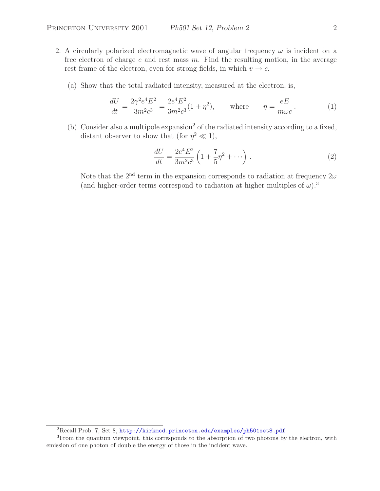- 2. A circularly polarized electromagnetic wave of angular frequency  $\omega$  is incident on a free electron of charge  $e$  and rest mass  $m$ . Find the resulting motion, in the average rest frame of the electron, even for strong fields, in which  $v \to c$ .
	- (a) Show that the total radiated intensity, measured at the electron, is,

$$
\frac{dU}{dt} = \frac{2\gamma^2 e^4 E^2}{3m^2 c^3} = \frac{2e^4 E^2}{3m^2 c^3} (1 + \eta^2), \quad \text{where} \quad \eta = \frac{eE}{m\omega c}.
$$
 (1)

(b) Consider also a multipole expansion<sup>2</sup> of the radiated intensity according to a fixed, distant observer to show that (for  $\eta^2 \ll 1$ ),

$$
\frac{dU}{dt} = \frac{2e^4E^2}{3m^2c^3} \left(1 + \frac{7}{5}\eta^2 + \cdots\right).
$$
 (2)

Note that the 2<sup>nd</sup> term in the expansion corresponds to radiation at frequency  $2\omega$ (and higher-order terms correspond to radiation at higher multiples of  $\omega$ ).<sup>3</sup>

<sup>2</sup>Recall Prob. 7, Set 8, http://kirkmcd.princeton.edu/examples/ph501set8.pdf

<sup>&</sup>lt;sup>3</sup>From the quantum viewpoint, this corresponds to the absorption of two photons by the electron, with emission of one photon of double the energy of those in the incident wave.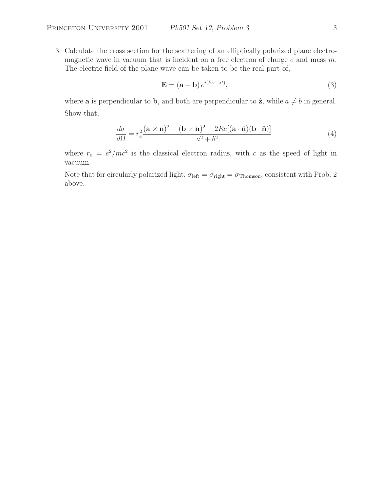3. Calculate the cross section for the scattering of an elliptically polarized plane electromagnetic wave in vacuum that is incident on a free electron of charge  $e$  and mass  $m$ . The electric field of the plane wave can be taken to be the real part of,

$$
\mathbf{E} = (\mathbf{a} + \mathbf{b}) e^{i(kz - \omega t)},\tag{3}
$$

where **a** is perpendicular to **b**, and both are perpendicular to  $\hat{z}$ , while  $a \neq b$  in general. Show that,

$$
\frac{d\sigma}{d\Omega} = r_e^2 \frac{(\mathbf{a} \times \hat{\mathbf{n}})^2 + (\mathbf{b} \times \hat{\mathbf{n}})^2 - 2Re[(\mathbf{a} \cdot \hat{\mathbf{n}})(\mathbf{b} \cdot \hat{\mathbf{n}})]}{a^2 + b^2}
$$
(4)

where  $r_e = e^2/mc^2$  is the classical electron radius, with c as the speed of light in vacuum.

Note that for circularly polarized light,  $\sigma_{\text{left}} = \sigma_{\text{right}} = \sigma_{\text{Thomson}}$ , consistent with Prob. 2 above.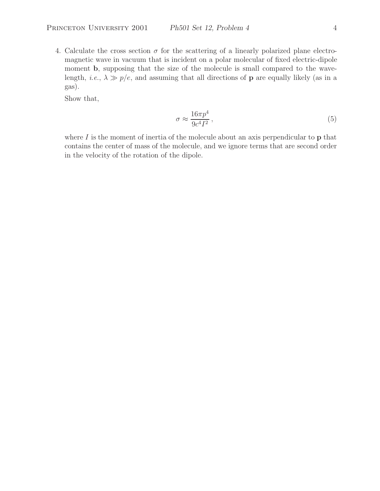4. Calculate the cross section  $\sigma$  for the scattering of a linearly polarized plane electromagnetic wave in vacuum that is incident on a polar molecular of fixed electric-dipole moment **b**, supposing that the size of the molecule is small compared to the wavelength, *i.e.*,  $\lambda \gg p/e$ , and assuming that all directions of **p** are equally likely (as in a gas).

Show that,

$$
\sigma \approx \frac{16\pi p^4}{9c^4I^2},\tag{5}
$$

where I is the moment of inertia of the molecule about an axis perpendicular to **p** that contains the center of mass of the molecule, and we ignore terms that are second order in the velocity of the rotation of the dipole.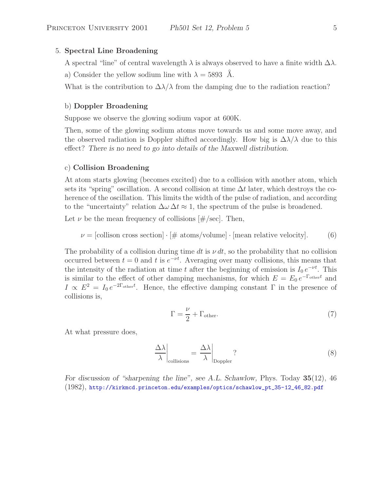### 5. **Spectral Line Broadening**

A spectral "line" of central wavelength  $\lambda$  is always observed to have a finite width  $\Delta\lambda$ .

a) Consider the yellow sodium line with  $\lambda = 5893$  Å.

What is the contribution to  $\Delta\lambda/\lambda$  from the damping due to the radiation reaction?

## b) **Doppler Broadening**

Suppose we observe the glowing sodium vapor at 600K.

Then, some of the glowing sodium atoms move towards us and some move away, and the observed radiation is Doppler shifted accordingly. How big is  $\Delta\lambda/\lambda$  due to this effect? *There is no need to go into details of the Maxwell distribution.*

## c) **Collision Broadening**

At atom starts glowing (becomes excited) due to a collision with another atom, which sets its "spring" oscillation. A second collision at time  $\Delta t$  later, which destroys the coherence of the oscillation. This limits the width of the pulse of radiation, and according to the "uncertainty" relation  $\Delta \omega \Delta t \approx 1$ , the spectrum of the pulse is broadened.

Let  $\nu$  be the mean frequency of collisions  $[\#/\text{sec}]$ . Then,

$$
\nu = [collision cross section] \cdot [\# atoms/volume] \cdot [mean relative velocity]. \tag{6}
$$

The probability of a collision during time dt is  $\nu dt$ , so the probability that no collision occurred between  $t = 0$  and t is  $e^{-\nu t}$ . Averaging over many collisions, this means that the intensity of the radiation at time t after the beginning of emission is  $I_0 e^{-\nu t}$ . This is similar to the effect of other damping mechanisms, for which  $E = E_0 e^{-\Gamma_{\text{other}}t}$  and  $I \propto E^2 = I_0 e^{-2\Gamma_{\text{other}}t}$ . Hence, the effective damping constant  $\Gamma$  in the presence of collisions is,

$$
\Gamma = \frac{\nu}{2} + \Gamma_{\text{other}}.\tag{7}
$$

At what pressure does,

$$
\left. \frac{\Delta \lambda}{\lambda} \right|_{\text{collisions}} = \left. \frac{\Delta \lambda}{\lambda} \right|_{\text{Doppler}}?
$$
\n(8)

*For discussion of "sharpening the line", see A.L. Schawlow,* Phys. Today **35**(12), 46 (1982), http://kirkmcd.princeton.edu/examples/optics/schawlow\_pt\_35-12\_46\_82.pdf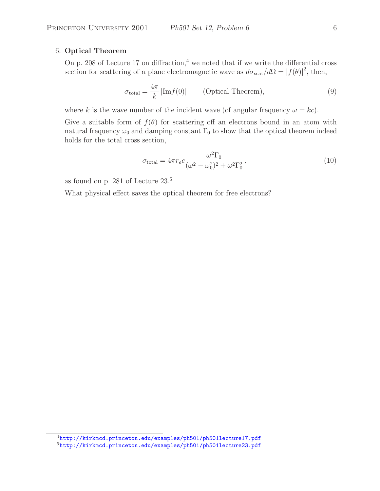## 6. **Optical Theorem**

On p. 208 of Lecture 17 on diffraction,<sup>4</sup> we noted that if we write the differential cross section for scattering of a plane electromagnetic wave as  $d\sigma_{scat}/d\Omega = |f(\theta)|^2$ , then,

$$
\sigma_{\text{total}} = \frac{4\pi}{k} |\text{Im} f(0)| \qquad \text{(Optical Theorem)}, \tag{9}
$$

where k is the wave number of the incident wave (of angular frequency  $\omega = kc$ ).

Give a suitable form of  $f(\theta)$  for scattering off an electrons bound in an atom with natural frequency  $\omega_0$  and damping constant  $\Gamma_0$  to show that the optical theorem indeed holds for the total cross section,

$$
\sigma_{\text{total}} = 4\pi r_e c \frac{\omega^2 \Gamma_0}{(\omega^2 - \omega_0^2)^2 + \omega^2 \Gamma_0^2},\tag{10}
$$

as found on p. 281 of Lecture 23.<sup>5</sup>

What physical effect saves the optical theorem for free electrons?

<sup>4</sup>http://kirkmcd.princeton.edu/examples/ph501/ph501lecture17.pdf

<sup>5</sup>http://kirkmcd.princeton.edu/examples/ph501/ph501lecture23.pdf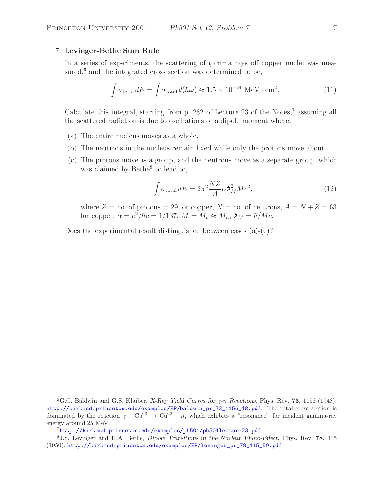## 7. **Levinger-Bethe Sum Rule**

In a series of experiments, the scattering of gamma rays off copper nuclei was measured, $6$  and the integrated cross section was determined to be,

$$
\int \sigma_{\text{total}} dE = \int \sigma_{\text{total}} d(\hbar \omega) \approx 1.5 \times 10^{-24} \text{ MeV} \cdot \text{cm}^2. \tag{11}
$$

Calculate this integral, starting from p. 282 of Lecture 23 of the Notes, $7$  assuming all the scattered radiation is due to oscillations of a dipole moment where:

- (a) The entire nucleus moves as a whole.
- (b) The neutrons in the nucleus remain fixed while only the protons move about.
- (c) The protons move as a group, and the neutrons move as a separate group, which was claimed by Bethe<sup>8</sup> to lead to,

$$
\int \sigma_{\text{total}} dE = 2\pi^2 \frac{NZ}{A} \alpha \lambda_M^2 Mc^2,\tag{12}
$$

where  $Z =$  no. of protons = 29 for copper,  $N =$  no. of neutrons,  $A = N + Z = 63$ for copper,  $\alpha = e^2/\hbar c = 1/137$ ,  $M = M_p \approx M_n$ ,  $\lambda_M = \hbar/Mc$ .

Does the experimental result distinguished between cases  $(a)-(c)$ ?

<sup>6</sup>G.C. Baldwin and G.S. Klaiber, *X-Ray Yield Curves for* γ*-*n *Reactions*, Phys. Rev. **73**, 1156 (1948), http://kirkmcd.princeton.edu/examples/EP/baldwin\_pr\_73\_1156\_48.pdf. The total cross section is dominated by the reaction  $\gamma + Cu^{63} \rightarrow Cu^{62} + n$ , which exhibits a "resonance" for incident gamma-ray energy around 25 MeV.

 $7$ http://kirkmcd.princeton.edu/examples/ph501/ph501lecture23.pdf

<sup>8</sup>J.S. Levinger and H.A. Bethe, *Dipole Transitions in the Nuclear Photo-Effect*, Phys. Rev. **78**, 115 (1950), http://kirkmcd.princeton.edu/examples/EP/levinger\_pr\_78\_115\_50.pdf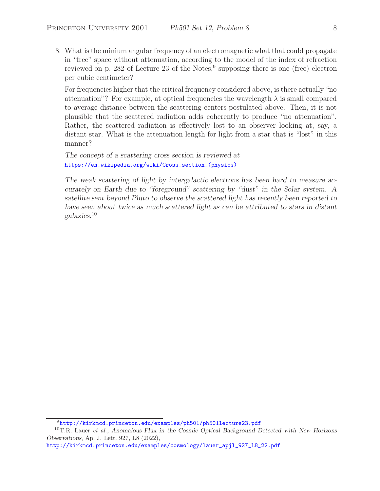8. What is the minium angular frequency of an electromagnetic what that could propagate in "free" space without attenuation, according to the model of the index of refraction reviewed on p. 282 of Lecture 23 of the Notes,<sup>9</sup> supposing there is one (free) electron per cubic centimeter?

For frequencies higher that the critical frequency considered above, is there actually "no attenuation"? For example, at optical frequencies the wavelength  $\lambda$  is small compared to average distance between the scattering centers postulated above. Then, it is not plausible that the scattered radiation adds coherently to produce "no attenuation". Rather, the scattered radiation is effectively lost to an observer looking at, say, a distant star. What is the attenuation length for light from a star that is "lost" in this manner?

*The concept of a scattering cross section is reviewed at* https://en.wikipedia.org/wiki/Cross\_section\_(physics)

*The weak scattering of light by intergalactic electrons has been hard to measure accurately on Earth due to "foreground" scattering by "dust" in the Solar system. A satellite sent beyond Pluto to observe the scattered light has recently been reported to have seen about twice as much scattered light as can be attributed to stars in distant galaxies.*<sup>10</sup>

<sup>9</sup>http://kirkmcd.princeton.edu/examples/ph501/ph501lecture23.pdf

<sup>10</sup>T.R. Lauer *et al.*, *Anomalous Flux in the Cosmic Optical Background Detected with New Horizons Observations*, Ap. J. Lett. 927, L8 (2022),

http://kirkmcd.princeton.edu/examples/cosmology/lauer\_apjl\_927\_L8\_22.pdf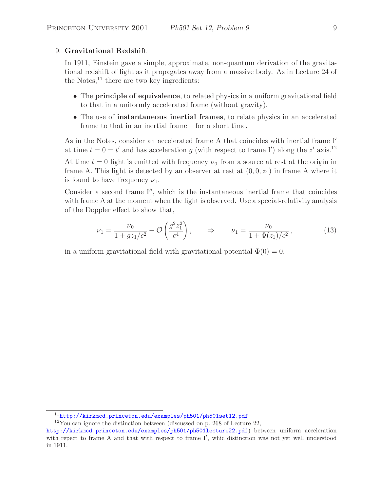## 9. **Gravitational Redshift**

In 1911, Einstein gave a simple, approximate, non-quantum derivation of the gravitational redshift of light as it propagates away from a massive body. As in Lecture 24 of the Notes, $^{11}$  there are two key ingredients:

- The **principle of equivalence**, to related physics in a uniform gravitational field to that in a uniformly accelerated frame (without gravity).
- The use of **instantaneous inertial frames**, to relate physics in an accelerated frame to that in an inertial frame – for a short time.

As in the Notes, consider an accelerated frame A that coincides with inertial frame I at time  $t = 0 = t'$  and has acceleration g (with respect to frame I') along the z' axis.<sup>12</sup>

At time  $t = 0$  light is emitted with frequency  $\nu_0$  from a source at rest at the origin in frame A. This light is detected by an observer at rest at  $(0, 0, z_1)$  in frame A where it is found to have frequency  $\nu_1$ .

Consider a second frame  $I''$ , which is the instantaneous inertial frame that coincides with frame A at the moment when the light is observed. Use a special-relativity analysis of the Doppler effect to show that,

$$
\nu_1 = \frac{\nu_0}{1 + gz_1/c^2} + \mathcal{O}\left(\frac{g^2 z_1^2}{c^4}\right), \qquad \Rightarrow \qquad \nu_1 = \frac{\nu_0}{1 + \Phi(z_1)/c^2},\tag{13}
$$

in a uniform gravitational field with gravitational potential  $\Phi(0) = 0$ .

<sup>11</sup>http://kirkmcd.princeton.edu/examples/ph501/ph501set12.pdf

<sup>12</sup>You can ignore the distinction between (discussed on p. 268 of Lecture 22,

http://kirkmcd.princeton.edu/examples/ph501/ph501lecture22.pdf) between uniform acceleration with repect to frame A and that with respect to frame I', whic distinction was not yet well understood in 1911.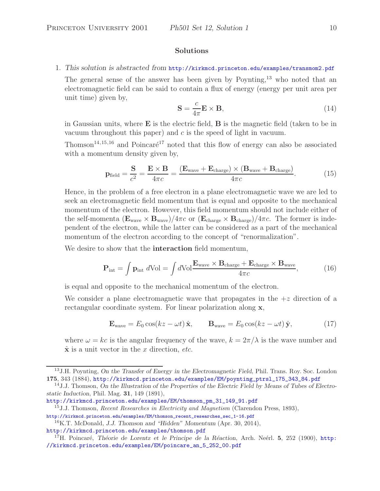## **Solutions**

# 1. *This solution is abstracted from* http://kirkmcd.princeton.edu/examples/transmom2.pdf

The general sense of the answer has been given by Poynting,<sup>13</sup> who noted that an electromagnetic field can be said to contain a flux of energy (energy per unit area per unit time) given by,

$$
\mathbf{S} = \frac{c}{4\pi} \mathbf{E} \times \mathbf{B},\tag{14}
$$

in Gaussian units, where **E** is the electric field, **B** is the magnetic field (taken to be in vacuum throughout this paper) and  $c$  is the speed of light in vacuum.

Thomson<sup>14,15,16</sup> and Poincaré<sup>17</sup> noted that this flow of energy can also be associated with a momentum density given by,

$$
\mathbf{p}_{\text{field}} = \frac{\mathbf{S}}{c^2} = \frac{\mathbf{E} \times \mathbf{B}}{4\pi c} = \frac{(\mathbf{E}_{\text{wave}} + \mathbf{E}_{\text{charge}}) \times (\mathbf{B}_{\text{wave}} + \mathbf{B}_{\text{charge}})}{4\pi c}.
$$
 (15)

Hence, in the problem of a free electron in a plane electromagnetic wave we are led to seek an electromagnetic field momentum that is equal and opposite to the mechanical momentum of the electron. However, this field momentum should not include either of the self-momenta  $(\mathbf{E}_{wave} \times \mathbf{B}_{wave})/4\pi c$  or  $(\mathbf{E}_{charge} \times \mathbf{B}_{charge})/4\pi c$ . The former is independent of the electron, while the latter can be considered as a part of the mechanical momentum of the electron according to the concept of "renormalization".

We desire to show that the **interaction** field momentum,

$$
\mathbf{P}_{\text{int}} = \int \mathbf{p}_{\text{int}} \ d\text{Vol} = \int d\text{Vol} \frac{\mathbf{E}_{\text{wave}} \times \mathbf{B}_{\text{charge}} + \mathbf{E}_{\text{charge}} \times \mathbf{B}_{\text{wave}}}{4\pi c},\tag{16}
$$

is equal and opposite to the mechanical momentum of the electron.

We consider a plane electromagnetic wave that propagates in the  $+z$  direction of a rectangular coordinate system. For linear polarization along **x**,

$$
\mathbf{E}_{\text{wave}} = E_0 \cos(kz - \omega t) \hat{\mathbf{x}}, \qquad \mathbf{B}_{\text{wave}} = E_0 \cos(kz - \omega t) \hat{\mathbf{y}}, \tag{17}
$$

where  $\omega = kc$  is the angular frequency of the wave,  $k = 2\pi/\lambda$  is the wave number and  $\hat{\mathbf{x}}$  is a unit vector in the x direction, *etc.* 

<sup>13</sup>J.H. Poynting, *On the Transfer of Energy in the Electromagnetic Field*, Phil. Trans. Roy. Soc. London **175**, 343 (1884), http://kirkmcd.princeton.edu/examples/EM/poynting\_ptrsl\_175\_343\_84.pdf

<sup>14</sup>J.J. Thomson, *On the Illustration of the Properties of the Electric Field by Means of Tubes of Electrostatic Induction*, Phil. Mag. **31**, 149 (1891),

http://kirkmcd.princeton.edu/examples/EM/thomson\_pm\_31\_149\_91.pdf

<sup>15</sup>J.J. Thomson, *Recent Researches in Electricity and Magnetism* (Clarendon Press, 1893), http://kirkmcd.princeton.edu/examples/EM/thomson\_recent\_researches\_sec\_1-16.pdf

<sup>16</sup>K.T. McDonald, *J.J. Thomson and "Hidden" Momentum* (Apr. 30, 2014),

http://kirkmcd.princeton.edu/examples/thomson.pdf

<sup>&</sup>lt;sup>17</sup>H. Poincaré, *Théorie de Lorentz et le Principe de la Réaction*, Arch. Neérl. **5**, 252 (1900), http: //kirkmcd.princeton.edu/examples/EM/poincare\_an\_5\_252\_00.pdf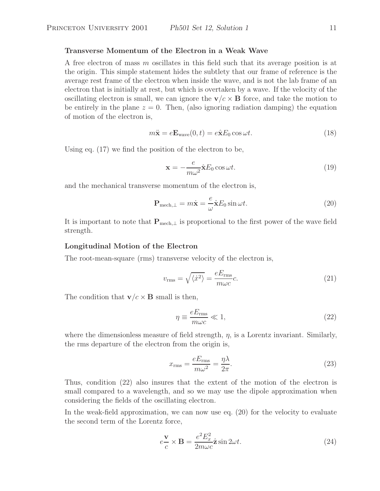### **Transverse Momentum of the Electron in a Weak Wave**

A free electron of mass m oscillates in this field such that its average position is at the origin. This simple statement hides the subtlety that our frame of reference is the average rest frame of the electron when inside the wave, and is not the lab frame of an electron that is initially at rest, but which is overtaken by a wave. If the velocity of the oscillating electron is small, we can ignore the  $\mathbf{v}/c \times \mathbf{B}$  force, and take the motion to be entirely in the plane  $z = 0$ . Then, (also ignoring radiation damping) the equation of motion of the electron is,

$$
m\ddot{\mathbf{x}} = e\mathbf{E}_{\text{wave}}(0, t) = e\hat{\mathbf{x}}E_0 \cos \omega t.
$$
 (18)

Using eq. (17) we find the position of the electron to be,

$$
\mathbf{x} = -\frac{e}{m\omega^2} \hat{\mathbf{x}} E_0 \cos \omega t.
$$
 (19)

and the mechanical transverse momentum of the electron is,

$$
\mathbf{P}_{\text{mech},\perp} = m\dot{\mathbf{x}} = \frac{e}{\omega}\hat{\mathbf{x}}E_0\sin\omega t.
$$
 (20)

It is important to note that  $P_{\text{mech}, \perp}$  is proportional to the first power of the wave field strength.

### **Longitudinal Motion of the Electron**

The root-mean-square (rms) transverse velocity of the electron is,

$$
v_{\rm rms} = \sqrt{\langle \dot{x}^2 \rangle} = \frac{eE_{\rm rms}}{m\omega c}c. \tag{21}
$$

The condition that  $\mathbf{v}/c \times \mathbf{B}$  small is then,

$$
\eta \equiv \frac{eE_{\rm rms}}{m\omega c} \ll 1,\tag{22}
$$

where the dimensionless measure of field strength,  $\eta$ , is a Lorentz invariant. Similarly, the rms departure of the electron from the origin is,

$$
x_{\rm rms} = \frac{eE_{\rm rms}}{m\omega^2} = \frac{\eta\lambda}{2\pi}.
$$
\n(23)

Thus, condition (22) also insures that the extent of the motion of the electron is small compared to a wavelength, and so we may use the dipole approximation when considering the fields of the oscillating electron.

In the weak-field approximation, we can now use eq. (20) for the velocity to evaluate the second term of the Lorentz force,

$$
e\frac{\mathbf{v}}{c} \times \mathbf{B} = \frac{e^2 E_x^2}{2m\omega c} \hat{\mathbf{z}} \sin 2\omega t.
$$
 (24)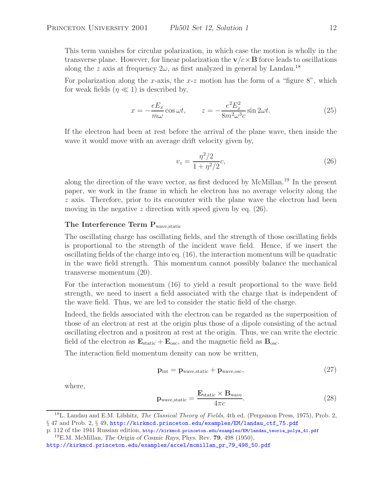This term vanishes for circular polarization, in which case the motion is wholly in the transverse plane. However, for linear polarization the  $\mathbf{v}/c \times \mathbf{B}$  force leads to oscillations along the z axis at frequency  $2\omega$ , as first analyzed in general by Landau.<sup>18</sup>

For polarization along the x-axis, the x-z motion has the form of a "figure 8", which for weak fields  $(\eta \ll 1)$  is described by,

$$
x = -\frac{eE_x}{m\omega}\cos\omega t, \qquad z = -\frac{e^2E_x^2}{8m^2\omega^3c}\sin 2\omega t.
$$
 (25)

If the electron had been at rest before the arrival of the plane wave, then inside the wave it would move with an average drift velocity given by,

$$
v_z = \frac{\eta^2/2}{1 + \eta^2/2}c,\tag{26}
$$

along the direction of the wave vector, as first deduced by McMillan.<sup>19</sup> In the present paper, we work in the frame in which he electron has no average velocity along the  $z$  axis. Therefore, prior to its encounter with the plane wave the electron had been moving in the negative z direction with speed given by eq.  $(26)$ .

# The Interference Term P<sub>wave,static</sub>

The oscillating charge has oscillating fields, and the strength of those oscillating fields is proportional to the strength of the incident wave field. Hence, if we insert the oscillating fields of the charge into eq. (16), the interaction momentum will be quadratic in the wave field strength. This momentum cannot possibly balance the mechanical transverse momentum (20).

For the interaction momentum (16) to yield a result proportional to the wave field strength, we need to insert a field associated with the charge that is independent of the wave field. Thus, we are led to consider the static field of the charge.

Indeed, the fields associated with the electron can be regarded as the superposition of those of an electron at rest at the origin plus those of a dipole consisting of the actual oscillating electron and a positron at rest at the origin. Thus, we can write the electric field of the electron as  $\mathbf{E}_{\text{static}} + \mathbf{E}_{\text{osc}}$ , and the magnetic field as  $\mathbf{B}_{\text{osc}}$ .

The interaction field momentum density can now be written,

$$
\mathbf{p}_{\text{int}} = \mathbf{p}_{\text{wave}, \text{static}} + \mathbf{p}_{\text{wave}, \text{osc}},\tag{27}
$$

where,

$$
\mathbf{p}_{\text{wave,static}} = \frac{\mathbf{E}_{\text{static}} \times \mathbf{B}_{\text{wave}}}{4\pi c}.
$$
 (28)

<sup>18</sup>L. Landau and E.M. Lifshitz, *The Classical Theory of Fields*, 4th ed. (Pergamon Press, 1975), Prob. 2, § 47 and Prob. 2, § 49, http://kirkmcd.princeton.edu/examples/EM/landau\_ctf\_75.pdf

p. 112 of the 1941 Russian edition, http://kirkmcd.princeton.edu/examples/EM/landau\_teoria\_polya\_41.pdf <sup>19</sup>E.M. McMillan, *The Origin of Cosmic Rays*, Phys. Rev. **79**, 498 (1950),

http://kirkmcd.princeton.edu/examples/accel/mcmillan\_pr\_79\_498\_50.pdf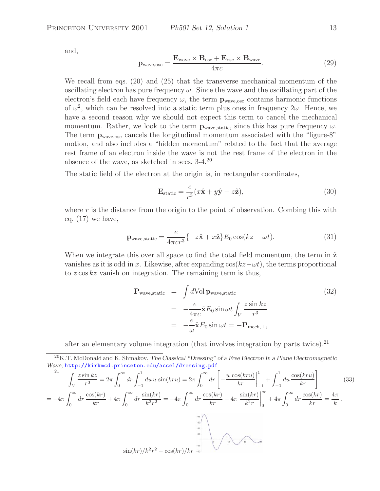and,

$$
\mathbf{p}_{\text{wave,osc}} = \frac{\mathbf{E}_{\text{wave}} \times \mathbf{B}_{\text{osc}} + \mathbf{E}_{\text{osc}} \times \mathbf{B}_{\text{wave}}}{4\pi c}.
$$
 (29)

We recall from eqs. (20) and (25) that the transverse mechanical momentum of the oscillating electron has pure frequency  $\omega$ . Since the wave and the oscillating part of the electron's field each have frequency  $\omega$ , the term  $\mathbf{p}_{wave,osc}$  contains harmonic functions of  $\omega^2$ , which can be resolved into a static term plus ones in frequency  $2\omega$ . Hence, we have a second reason why we should not expect this term to cancel the mechanical momentum. Rather, we look to the term  $\mathbf{p}_{wave, static}$ , since this has pure frequency  $\omega$ . The term  $\mathbf{p}_{\text{wave,osc}}$  cancels the longitudinal momentum associated with the "figure-8" motion, and also includes a "hidden momentum" related to the fact that the average rest frame of an electron inside the wave is not the rest frame of the electron in the absence of the wave, as sketched in secs. 3-4.<sup>20</sup>

The static field of the electron at the origin is, in rectangular coordinates,

$$
\mathbf{E}_{\text{static}} = \frac{e}{r^3} (x\hat{\mathbf{x}} + y\hat{\mathbf{y}} + z\hat{\mathbf{z}}),\tag{30}
$$

where  $r$  is the distance from the origin to the point of observation. Combing this with eq.  $(17)$  we have,

$$
\mathbf{p}_{\text{wave,static}} = \frac{e}{4\pi c r^3} \{-z\hat{\mathbf{x}} + x\hat{\mathbf{z}}\} E_0 \cos(kz - \omega t). \tag{31}
$$

When we integrate this over all space to find the total field momentum, the term in  $\hat{z}$ vanishes as it is odd in x. Likewise, after expanding  $\cos(kz-\omega t)$ , the terms proportional to  $z \cos kz$  vanish on integration. The remaining term is thus,

$$
\mathbf{P}_{\text{wave,static}} = \int d\text{Vol} \, \mathbf{p}_{\text{wave,static}} \tag{32}
$$
\n
$$
= -\frac{e}{4\pi c} \hat{\mathbf{x}} E_0 \sin \omega t \int_V \frac{z \sin kz}{r^3}
$$
\n
$$
= -\frac{e}{\omega} \hat{\mathbf{x}} E_0 \sin \omega t = -\mathbf{P}_{\text{mech},\perp},
$$

after an elementary volume integration (that involves integration by parts twice).<sup>21</sup>

<sup>20</sup>K.T. McDonald and K. Shmakov, *The Classical "Dressing" of a Free Electron in a Plane Electromagnetic Wave*; http://kirkmcd.princeton.edu/accel/dressing.pdf

$$
\int_{V} \frac{z \sin kz}{r^3} = 2\pi \int_{0}^{\infty} dr \int_{-1}^{1} du u \sin(kru) = 2\pi \int_{0}^{\infty} dr \left[ -\frac{u \cos(kru)}{kr} \Big|_{-1}^{1} + \int_{-1}^{1} du \frac{\cos(kru)}{kr} \right]
$$
(33)  
= -4\pi \int\_{0}^{\infty} dr \frac{\cos(kr)}{kr} + 4\pi \int\_{0}^{\infty} dr \frac{\sin(kr)}{k^{2}r^{2}} = -4\pi \int\_{0}^{\infty} dr \frac{\cos(kr)}{kr} - 4\pi \frac{\sin(kr)}{k^{2}r} \Big|\_{0}^{\infty} + 4\pi \int\_{0}^{\infty} dr \frac{\cos(kr)}{kr} = \frac{4\pi}{k}.(33)  

$$
\sin(kr)/k^{2}r^{2} - \cos(kr)/kr \stackrel{at}{=} \sqrt{\sum_{n=0}^{\infty} \sum_{n=0}^{\infty} dr \frac{\cos(kr)}{k^{2}r^{2}}}
$$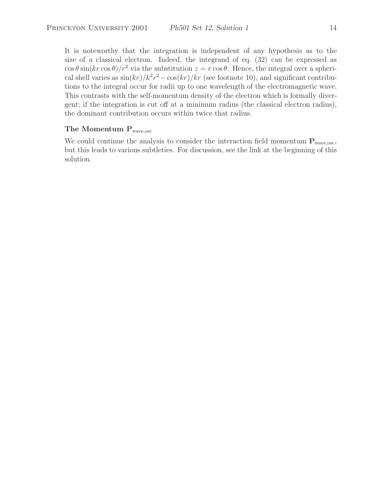It is noteworthy that the integration is independent of any hypothesis as to the size of a classical electron. Indeed, the integrand of eq. (32) can be expressed as  $\cos \theta \sin(kr \cos \theta)/r^2$  via the substitution  $z = r \cos \theta$ . Hence, the integral over a spherical shell varies as  $\sin(kr)/k^2r^2 - \cos(kr)/kr$  (see footnote 10), and significant contributions to the integral occur for radii up to one wavelength of the electromagnetic wave. This contrasts with the self-momentum density of the electron which is formally divergent; if the integration is cut off at a minimum radius (the classical electron radius), the dominant contribution occurs within twice that radius.

# **The Momentum P**wave,osc

We could continue the analysis to consider the interaction field momentum  $P_{wave,osc}$ , but this leads to various subtleties. For discussion, see the link at the beginning of this solution.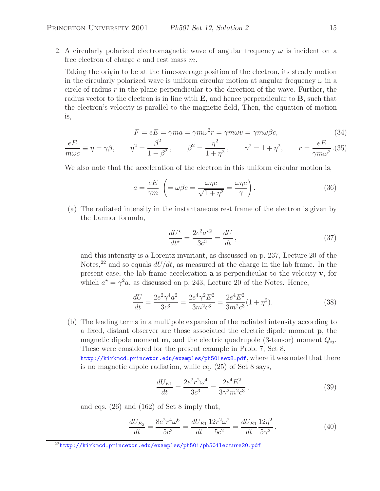2. A circularly polarized electromagnetic wave of angular frequency  $\omega$  is incident on a free electron of charge  $e$  and rest mass  $m$ .

Taking the origin to be at the time-average position of the electron, its steady motion in the circularly polarized wave is uniform circular motion at angular frequency  $\omega$  in a circle of radius  $r$  in the plane perpendicular to the direction of the wave. Further, the radius vector to the electron is in line with **E**, and hence perpendicular to **B**, such that the electron's velocity is parallel to the magnetic field, Then, the equation of motion is,

$$
F = eE = \gamma ma = \gamma m\omega^2 r = \gamma m\omega v = \gamma m\omega \beta c,\tag{34}
$$

$$
\frac{eE}{m\omega c} \equiv \eta = \gamma \beta, \qquad \eta^2 = \frac{\beta^2}{1 - \beta^2}, \qquad \beta^2 = \frac{\eta^2}{1 + \eta^2}, \qquad \gamma^2 = 1 + \eta^2, \qquad r = \frac{eE}{\gamma m \omega^2}.
$$
 (35)

We also note that the acceleration of the electron in this uniform circular motion is,

$$
a = \frac{eE}{\gamma m} \left( = \omega \beta c = \frac{\omega \eta c}{\sqrt{1 + \eta^2}} = \frac{\omega \eta c}{\gamma} \right). \tag{36}
$$

(a) The radiated intensity in the instantaneous rest frame of the electron is given by the Larmor formula,

$$
\frac{dU^*}{dt^*} = \frac{2e^2a^{*2}}{3c^3} = \frac{dU}{dt},
$$
\n(37)

and this intensity is a Lorentz invariant, as discussed on p. 237, Lecture 20 of the Notes,<sup>22</sup> and so equals  $dU/dt$ , as measured at the charge in the lab frame. In the present case, the lab-frame acceleration **a** is perpendicular to the velocity **v**, for which  $a^* = \gamma^2 a$ , as discussed on p. 243, Lecture 20 of the Notes. Hence,

$$
\frac{dU}{dt} = \frac{2e^2\gamma^4a^2}{3c^3} = \frac{2e^4\gamma^2E^2}{3m^2c^3} = \frac{2e^4E^2}{3m^2c^3}(1+\eta^2). \tag{38}
$$

(b) The leading terms in a multipole expansion of the radiated intensity according to a fixed, distant observer are those associated the electric dipole moment **p**, the magnetic dipole moment **m**, and the electric quadrupole (3-tensor) moment  $Q_{ii}$ . These were considered for the present example in Prob. 7, Set 8,

http://kirkmcd.princeton.edu/examples/ph501set8.pdf, where it was noted that there is no magnetic dipole radiation, while eq. (25) of Set 8 says,

$$
\frac{dU_{E1}}{dt} = \frac{2e^2r^2\omega^4}{3c^3} = \frac{2e^4E^2}{3\gamma^2m^2c^3},\tag{39}
$$

and eqs. (26) and (162) of Set 8 imply that,

$$
\frac{dU_{E_2}}{dt} = \frac{8e^2r^4\omega^6}{5c^3} = \frac{dU_{E1}}{dt}\frac{12r^2\omega^2}{5c^2} = \frac{dU_{E1}}{dt}\frac{12\eta^2}{5\gamma^2}.
$$
\n(40)

 $^{22}$ http://kirkmcd.princeton.edu/examples/ph501/ph501lecture20.pdf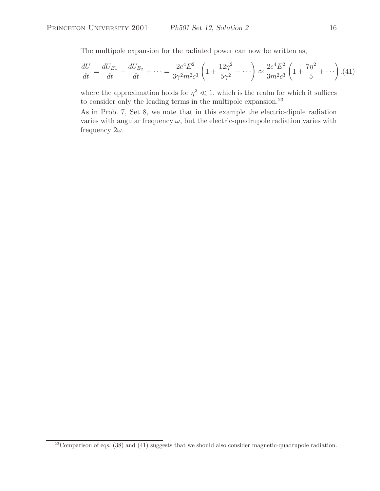The multipole expansion for the radiated power can now be written as,

$$
\frac{dU}{dt} = \frac{dU_{E1}}{dt} + \frac{dU_{E2}}{dt} + \dots = \frac{2e^4E^2}{3\gamma^2m^2c^3} \left(1 + \frac{12\eta^2}{5\gamma^2} + \dots\right) \approx \frac{2e^4E^2}{3m^2c^3} \left(1 + \frac{7\eta^2}{5} + \dots\right),
$$
(41)

where the approximation holds for  $\eta^2 \ll 1$ , which is the realm for which it suffices to consider only the leading terms in the multipole expansion.<sup>23</sup>

As in Prob. 7, Set 8, we note that in this example the electric-dipole radiation varies with angular frequency  $\omega$ , but the electric-quadrupole radiation varies with frequency  $2\omega$ .

 $^{23}$ Comparison of eqs. (38) and (41) suggests that we should also consider magnetic-quadrupole radiation.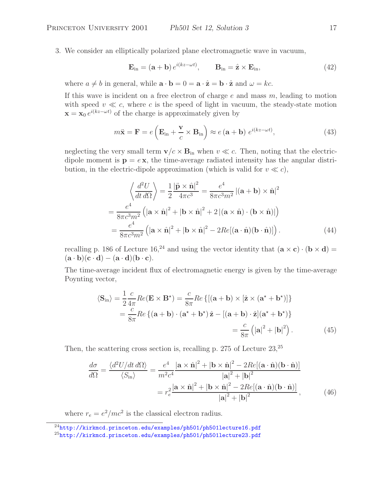3. We consider an elliptically polarized plane electromagnetic wave in vacuum,

$$
\mathbf{E}_{\rm in} = (\mathbf{a} + \mathbf{b}) e^{i(kz - \omega t)}, \qquad \mathbf{B}_{\rm in} = \hat{\mathbf{z}} \times \mathbf{E}_{\rm in}, \tag{42}
$$

where  $a \neq b$  in general, while  $\mathbf{a} \cdot \mathbf{b} = 0 = \mathbf{a} \cdot \hat{\mathbf{z}} = \mathbf{b} \cdot \hat{\mathbf{z}}$  and  $\omega = kc$ .

If this wave is incident on a free electron of charge  $e$  and mass  $m$ , leading to motion with speed  $v \ll c$ , where c is the speed of light in vacuum, the steady-state motion  $\mathbf{x} = \mathbf{x}_0 e^{i(kz-\omega t)}$  of the charge is approximately given by

$$
m\ddot{\mathbf{x}} = \mathbf{F} = e\left(\mathbf{E}_{\text{in}} + \frac{\mathbf{v}}{c} \times \mathbf{B}_{\text{in}}\right) \approx e\left(\mathbf{a} + \mathbf{b}\right) e^{i(kz - \omega t)},\tag{43}
$$

neglecting the very small term  $\mathbf{v}/c \times \mathbf{B}_{\text{in}}$  when  $v \ll c$ . Then, noting that the electricdipole moment is  $\mathbf{p} = e\mathbf{x}$ , the time-average radiated intensity has the angular distribution, in the electric-dipole approximation (which is valid for  $v \ll c$ ),

$$
\left\langle \frac{d^2 U}{dt \, d\Omega} \right\rangle = \frac{1}{2} \frac{|\ddot{\mathbf{p}} \times \hat{\mathbf{n}}|^2}{4\pi c^3} = \frac{e^4}{8\pi c^3 m^2} |(\mathbf{a} + \mathbf{b}) \times \hat{\mathbf{n}}|^2
$$

$$
= \frac{e^4}{8\pi c^3 m^2} \left( |\mathbf{a} \times \hat{\mathbf{n}}|^2 + |\mathbf{b} \times \hat{\mathbf{n}}|^2 + 2 |(\mathbf{a} \times \hat{\mathbf{n}}) \cdot (\mathbf{b} \times \hat{\mathbf{n}})| \right)
$$

$$
= \frac{e^4}{8\pi c^3 m^2} \left( |\mathbf{a} \times \hat{\mathbf{n}}|^2 + |\mathbf{b} \times \hat{\mathbf{n}}|^2 - 2Re[(\mathbf{a} \cdot \hat{\mathbf{n}})(\mathbf{b} \cdot \hat{\mathbf{n}})] \right). \tag{44}
$$

recalling p. 186 of Lecture 16,<sup>24</sup> and using the vector identity that  $(\mathbf{a} \times \mathbf{c}) \cdot (\mathbf{b} \times \mathbf{d}) =$  $(\mathbf{a} \cdot \mathbf{b})(\mathbf{c} \cdot \mathbf{d}) - (\mathbf{a} \cdot \mathbf{d})(\mathbf{b} \cdot \mathbf{c}).$ 

The time-average incident flux of electromagnetic energy is given by the time-average Poynting vector,

$$
\langle \mathbf{S}_{\rm in} \rangle = \frac{1}{2} \frac{c}{4\pi} Re(\mathbf{E} \times \mathbf{B}^*) = \frac{c}{8\pi} Re \{ [(\mathbf{a} + \mathbf{b}) \times [\hat{\mathbf{z}} \times (\mathbf{a}^* + \mathbf{b}^*)] \}
$$
  
=  $\frac{c}{8\pi} Re \{ (\mathbf{a} + \mathbf{b}) \cdot (\mathbf{a}^* + \mathbf{b}^*) \hat{\mathbf{z}} - [(\mathbf{a} + \mathbf{b}) \cdot \hat{\mathbf{z}}] (\mathbf{a}^* + \mathbf{b}^*) \}$   
=  $\frac{c}{8\pi} (|\mathbf{a}|^2 + |\mathbf{b}|^2).$  (45)

Then, the scattering cross section is, recalling p. 275 of Lecture 23,<sup>25</sup>

$$
\frac{d\sigma}{d\Omega} = \frac{\langle d^2 U/dt \, d\Omega \rangle}{\langle S_{\text{in}} \rangle} = \frac{e^4}{m^2 c^4} \frac{|\mathbf{a} \times \hat{\mathbf{n}}|^2 + |\mathbf{b} \times \hat{\mathbf{n}}|^2 - 2Re[(\mathbf{a} \cdot \hat{\mathbf{n}})(\mathbf{b} \cdot \hat{\mathbf{n}})]}{|\mathbf{a}|^2 + |\mathbf{b}|^2}
$$

$$
= r_e^2 \frac{|\mathbf{a} \times \hat{\mathbf{n}}|^2 + |\mathbf{b} \times \hat{\mathbf{n}}|^2 - 2Re[(\mathbf{a} \cdot \hat{\mathbf{n}})(\mathbf{b} \cdot \hat{\mathbf{n}})]}{|\mathbf{a}|^2 + |\mathbf{b}|^2}, \tag{46}
$$

where  $r_e = e^2/mc^2$  is the classical electron radius.

<sup>24</sup>http://kirkmcd.princeton.edu/examples/ph501/ph501lecture16.pdf

<sup>25</sup>http://kirkmcd.princeton.edu/examples/ph501/ph501lecture23.pdf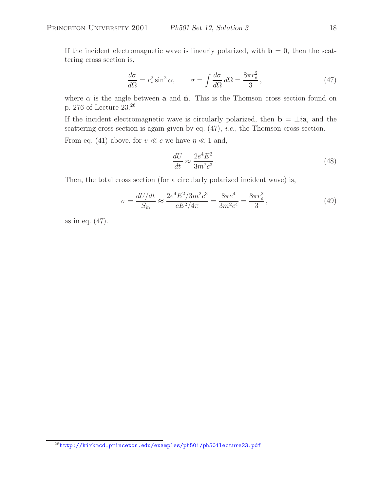If the incident electromagnetic wave is linearly polarized, with  $\mathbf{b} = 0$ , then the scattering cross section is,

$$
\frac{d\sigma}{d\Omega} = r_e^2 \sin^2 \alpha, \qquad \sigma = \int \frac{d\sigma}{d\Omega} d\Omega = \frac{8\pi r_e^2}{3},\tag{47}
$$

where  $\alpha$  is the angle between **a** and  $\hat{\mathbf{n}}$ . This is the Thomson cross section found on p. 276 of Lecture 23.<sup>26</sup>

If the incident electromagnetic wave is circularly polarized, then  $\mathbf{b} = \pm i\mathbf{a}$ , and the scattering cross section is again given by eq. (47), *i.e.*, the Thomson cross section.

From eq. (41) above, for  $v \ll c$  we have  $\eta \ll 1$  and,

$$
\frac{dU}{dt} \approx \frac{2e^4E^2}{3m^2c^3} \,. \tag{48}
$$

Then, the total cross section (for a circularly polarized incident wave) is,

$$
\sigma = \frac{dU/dt}{S_{\text{in}}} \approx \frac{2e^4E^2/3m^2c^3}{cE^2/4\pi} = \frac{8\pi e^4}{3m^2c^4} = \frac{8\pi r_e^2}{3},\tag{49}
$$

as in eq. (47).

<sup>26</sup>http://kirkmcd.princeton.edu/examples/ph501/ph501lecture23.pdf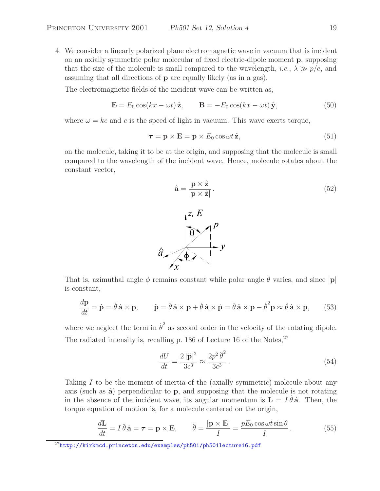4. We consider a linearly polarized plane electromagnetic wave in vacuum that is incident on an axially symmetric polar molecular of fixed electric-dipole moment **p**, supposing that the size of the molecule is small compared to the wavelength, *i.e.*,  $\lambda \gg p/e$ , and assuming that all directions of **p** are equally likely (as in a gas).

The electromagnetic fields of the incident wave can be written as,

$$
\mathbf{E} = E_0 \cos(kx - \omega t) \hat{\mathbf{z}}, \qquad \mathbf{B} = -E_0 \cos(kx - \omega t) \hat{\mathbf{y}}, \tag{50}
$$

where  $\omega = kc$  and c is the speed of light in vacuum. This wave exerts torque,

$$
\tau = \mathbf{p} \times \mathbf{E} = \mathbf{p} \times E_0 \cos \omega t \,\hat{\mathbf{z}},\tag{51}
$$

on the molecule, taking it to be at the origin, and supposing that the molecule is small compared to the wavelength of the incident wave. Hence, molecule rotates about the constant vector,

$$
\hat{\mathbf{a}} = \frac{\mathbf{p} \times \hat{\mathbf{z}}}{|\mathbf{p} \times \hat{\mathbf{z}}|}.
$$
\n(52)



That is, azimuthal angle  $\phi$  remains constant while polar angle  $\theta$  varies, and since  $|\mathbf{p}|$ is constant,

$$
\frac{d\mathbf{p}}{dt} = \dot{\mathbf{p}} = \dot{\theta}\,\hat{\mathbf{a}} \times \mathbf{p}, \qquad \ddot{\mathbf{p}} = \ddot{\theta}\,\hat{\mathbf{a}} \times \mathbf{p} + \dot{\theta}\,\hat{\mathbf{a}} \times \dot{\mathbf{p}} = \ddot{\theta}\,\hat{\mathbf{a}} \times \mathbf{p} - \dot{\theta}^2 \mathbf{p} \approx \ddot{\theta}\,\hat{\mathbf{a}} \times \mathbf{p}, \qquad (53)
$$

where we neglect the term in  $\dot{\theta}^2$  as second order in the velocity of the rotating dipole. The radiated intensity is, recalling p. 186 of Lecture 16 of the Notes, $27$ 

$$
\frac{dU}{dt} = \frac{2|\ddot{\mathbf{p}}|^2}{3c^3} \approx \frac{2p^2\ddot{\theta}^2}{3c^3}.
$$
\n(54)

Taking  $I$  to be the moment of inertia of the (axially symmetric) molecule about any axis (such as  $\hat{a}$ ) perpendicular to  $\bf{p}$ , and supposing that the molecule is not rotating in the absence of the incident wave, its angular momentum is  $\mathbf{L} = I \dot{\theta} \hat{\mathbf{a}}$ . Then, the torque equation of motion is, for a molecule centered on the origin,

$$
\frac{d\mathbf{L}}{dt} = I \ddot{\theta} \hat{\mathbf{a}} = \boldsymbol{\tau} = \mathbf{p} \times \mathbf{E}, \qquad \ddot{\theta} = \frac{|\mathbf{p} \times \mathbf{E}|}{I} = \frac{pE_0 \cos \omega t \sin \theta}{I}.
$$
 (55)

 $^{27}$ http://kirkmcd.princeton.edu/examples/ph501/ph501lecture16.pdf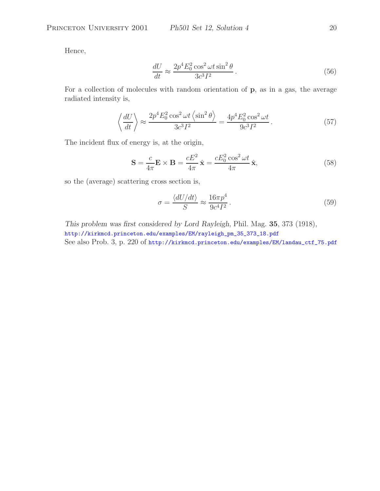Hence,

$$
\frac{dU}{dt} \approx \frac{2p^4 E_0^2 \cos^2 \omega t \sin^2 \theta}{3c^3 I^2}.
$$
\n(56)

For a collection of molecules with random orientation of **p**, as in a gas, the average radiated intensity is,

$$
\left\langle \frac{dU}{dt} \right\rangle \approx \frac{2p^4 E_0^2 \cos^2 \omega t \left\langle \sin^2 \theta \right\rangle}{3c^3 I^2} = \frac{4p^4 E_0^2 \cos^2 \omega t}{9c^3 I^2}.
$$
 (57)

The incident flux of energy is, at the origin,

$$
\mathbf{S} = \frac{c}{4\pi} \mathbf{E} \times \mathbf{B} = \frac{cE^2}{4\pi} \hat{\mathbf{x}} = \frac{cE_0^2 \cos^2 \omega t}{4\pi} \hat{\mathbf{x}},\tag{58}
$$

so the (average) scattering cross section is,

$$
\sigma = \frac{\langle dU/dt \rangle}{S} \approx \frac{16\pi p^4}{9c^4 I^2} \,. \tag{59}
$$

*This problem was first considered by Lord Rayleigh*, Phil. Mag. **35**, 373 (1918), http://kirkmcd.princeton.edu/examples/EM/rayleigh\_pm\_35\_373\_18.pdf See also Prob. 3, p. 220 of http://kirkmcd.princeton.edu/examples/EM/landau\_ctf\_75.pdf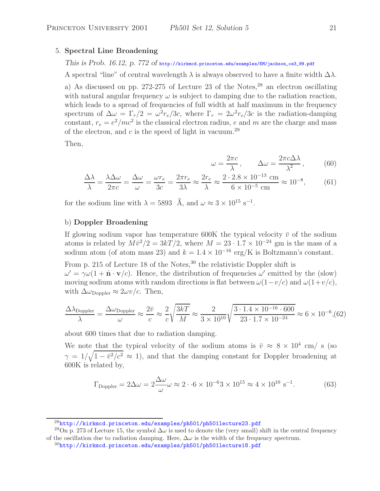# 5. **Spectral Line Broadening**

## *This is Prob. 16.12, p. 772 of* http://kirkmcd.princeton.edu/examples/EM/jackson\_ce3\_99.pdf

A spectral "line" of central wavelength  $\lambda$  is always observed to have a finite width  $\Delta\lambda$ .

a) As discussed on pp. 272-275 of Lecture 23 of the Notes,  $2^8$  an electron oscillating with natural angular frequency  $\omega$  is subject to damping due to the radiation reaction, which leads to a spread of frequencies of full width at half maximum in the frequency spectrum of  $\Delta \omega = \Gamma_r/2 = \omega^2 r_e/3c$ , where  $\Gamma_r = 2\omega^2 r_e/3c$  is the radiation-damping constant,  $r_e = e^2/mc^2$  is the classical electron radius, e and m are the charge and mass of the electron, and c is the speed of light in vacuum.<sup>29</sup>

Then,

$$
\omega = \frac{2\pi c}{\lambda}, \qquad \Delta \omega = \frac{2\pi c \Delta \lambda}{\lambda^2}, \qquad (60)
$$

$$
\frac{\Delta\lambda}{\lambda} = \frac{\lambda\Delta\omega}{2\pi c} = \frac{\Delta\omega}{\omega} = \frac{\omega r_e}{3c} = \frac{2\pi r_e}{3\lambda} \approx \frac{2r_e}{\lambda} \approx \frac{2 \cdot 2.8 \times 10^{-13} \text{ cm}}{6 \times 10^{-5} \text{ cm}} \approx 10^{-8},\tag{61}
$$

for the sodium line with  $\lambda = 5893$  Å, and  $\omega \approx 3 \times 10^{15} \text{ s}^{-1}$ .

## b) **Doppler Broadening**

If glowing sodium vapor has temperature 600K the typical velocity  $\bar{v}$  of the sodium atoms is related by  $M\bar{v}^2/2=3kT/2$ , where  $M = 23 \cdot 1.7 \times 10^{-24}$  gm is the mass of a sodium atom (of atom mass 23) and  $k = 1.4 \times 10^{-16}$  erg/K is Boltzmann's constant.

From p. 215 of Lecture 18 of the Notes,  $30$  the relativistic Doppler shift is  $\omega' = \gamma \omega (1 + \hat{\mathbf{n}} \cdot \mathbf{v}/c)$ . Hence, the distribution of frequencies  $\omega'$  emitted by the (slow) moving sodium atoms with random directions is flat between  $\omega(1-v/c)$  and  $\omega(1+v/c)$ , with  $\Delta \omega_{\text{Doppler}} \approx 2 \omega v/c$ . Then,

$$
\frac{\Delta\lambda_{\text{Doppler}}}{\lambda} = \frac{\Delta\omega_{\text{Doppler}}}{\omega} \approx \frac{2\bar{v}}{c} \approx \frac{2}{c} \sqrt{\frac{3kT}{M}} \approx \frac{2}{3 \times 10^{10}} \sqrt{\frac{3 \cdot 1.4 \times 10^{-16} \cdot 600}{23 \cdot 1.7 \times 10^{-24}}} \approx 6 \times 10^{-6},\tag{62}
$$

about 600 times that due to radiation damping.

We note that the typical velocity of the sodium atoms is  $\bar{v} \approx 8 \times 10^4$  cm/ s (so  $\gamma = 1/\sqrt{1-\bar{v}^2/c^2} \approx 1$ , and that the damping constant for Doppler broadening at 600K is related by,

$$
\Gamma_{\text{Doppler}} = 2\Delta\omega = 2\frac{\Delta\omega}{\omega}\omega \approx 2 \cdot 6 \times 10^{-6}3 \times 10^{15} \approx 4 \times 10^{10} \text{ s}^{-1}. \tag{63}
$$

<sup>28</sup>http://kirkmcd.princeton.edu/examples/ph501/ph501lecture23.pdf

<sup>&</sup>lt;sup>29</sup>On p. 273 of Lecture 15, the symbol  $\Delta\omega$  is used to denote the (very small) shift in the central frequency of the oscillation due to radiation damping. Here,  $\Delta\omega$  is the width of the frequency spectrum.

 $30$ http://kirkmcd.princeton.edu/examples/ph501/ph501lecture18.pdf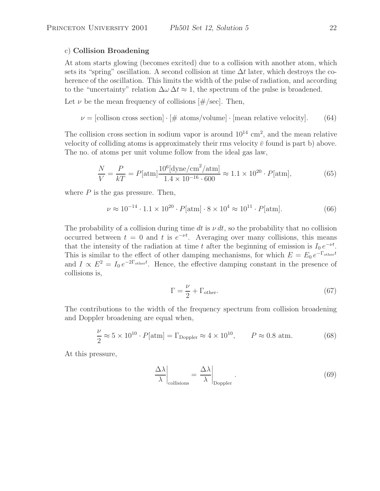### c) **Collision Broadening**

At atom starts glowing (becomes excited) due to a collision with another atom, which sets its "spring" oscillation. A second collision at time  $\Delta t$  later, which destroys the coherence of the oscillation. This limits the width of the pulse of radiation, and according to the "uncertainty" relation  $\Delta \omega \Delta t \approx 1$ , the spectrum of the pulse is broadened.

Let  $\nu$  be the mean frequency of collisions  $[\#/\text{sec}]$ . Then,

 $\nu =$  [collison cross section]  $\cdot$  [# atoms/volume]  $\cdot$  [mean relative velocity]. (64)

The collision cross section in sodium vapor is around  $10^{14}$  cm<sup>2</sup>, and the mean relative velocity of colliding atoms is approximately their rms velocity  $\bar{v}$  found is part b) above. The no. of atoms per unit volume follow from the ideal gas law,

$$
\frac{N}{V} = \frac{P}{kT} = P[\text{atm}] \frac{10^6[\text{dyne/cm}^2/\text{atm}]}{1.4 \times 10^{-16} \cdot 600} \approx 1.1 \times 10^{20} \cdot P[\text{atm}],\tag{65}
$$

where  $P$  is the gas pressure. Then,

$$
\nu \approx 10^{-14} \cdot 1.1 \times 10^{20} \cdot P[\text{atm}] \cdot 8 \times 10^4 \approx 10^{11} \cdot P[\text{atm}]. \tag{66}
$$

The probability of a collision during time dt is  $\nu dt$ , so the probability that no collision occurred between  $t = 0$  and t is  $e^{-\nu t}$ . Averaging over many collisions, this means that the intensity of the radiation at time t after the beginning of emission is  $I_0 e^{-\nu t}$ . This is similar to the effect of other damping mechanisms, for which  $E = E_0 e^{-\Gamma_{\text{other}}t}$ and  $I \propto E^2 = I_0 e^{-2\Gamma_{\text{other}}t}$ . Hence, the effective damping constant in the presence of collisions is,

$$
\Gamma = \frac{\nu}{2} + \Gamma_{\text{other}}.\tag{67}
$$

The contributions to the width of the frequency spectrum from collision broadening and Doppler broadening are equal when,

$$
\frac{\nu}{2} \approx 5 \times 10^{10} \cdot P[\text{atm}] = \Gamma_{\text{Doppler}} \approx 4 \times 10^{10}, \qquad P \approx 0.8 \text{ atm.}
$$
 (68)

At this pressure,

$$
\left. \frac{\Delta \lambda}{\lambda} \right|_{\text{collisions}} = \left. \frac{\Delta \lambda}{\lambda} \right|_{\text{Doppler}}.
$$
\n(69)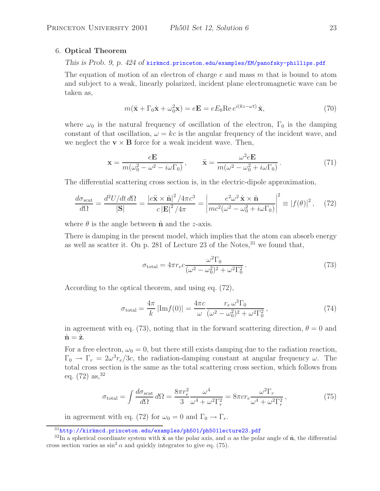#### 6. **Optical Theorem**

*This is Prob. 9, p. 424 of* kirkmcd.princeton.edu/examples/EM/panofsky-phillips.pdf

The equation of motion of an electron of charge  $e$  and mass  $m$  that is bound to atom and subject to a weak, linearly polarized, incident plane electromagnetic wave can be taken as,

$$
m(\ddot{\mathbf{x}} + \Gamma_0 \dot{\mathbf{x}} + \omega_0^2 \mathbf{x}) = e\mathbf{E} = eE_0 \text{Re } e^{i(kz - \omega t)} \hat{\mathbf{x}},\tag{70}
$$

where  $\omega_0$  is the natural frequency of oscillation of the electron,  $\Gamma_0$  is the damping constant of that oscillation,  $\omega = kc$  is the angular frequency of the incident wave, and we neglect the  $\mathbf{v} \times \mathbf{B}$  force for a weak incident wave. Then,

$$
\mathbf{x} = \frac{e\mathbf{E}}{m(\omega_0^2 - \omega^2 - i\omega\Gamma_0)}, \qquad \ddot{\mathbf{x}} = \frac{\omega^2 e\mathbf{E}}{m(\omega^2 - \omega_0^2 + i\omega\Gamma_0)}.
$$
(71)

The differential scattering cross section is, in the electric-dipole approximation,

$$
\frac{d\sigma_{\text{scat}}}{d\Omega} = \frac{d^2 U/dt \, d\Omega}{|\mathbf{S}|} = \frac{|e\ddot{\mathbf{x}} \times \hat{\mathbf{n}}|^2 / 4\pi c^3}{c |\mathbf{E}|^2 / 4\pi} = \left| \frac{e^2 \omega^2 \hat{\mathbf{x}} \times \hat{\mathbf{n}}}{mc^2(\omega^2 - \omega_0^2 + i\omega \Gamma_0)} \right|^2 \equiv |f(\theta)|^2 \,, \tag{72}
$$

where  $\theta$  is the angle between  $\hat{\mathbf{n}}$  and the *z*-axis.

There is damping in the present model, which implies that the atom can absorb energy as well as scatter it. On p. 281 of Lecture 23 of the Notes,  $31$  we found that,

$$
\sigma_{\text{total}} = 4\pi r_e c \frac{\omega^2 \Gamma_0}{(\omega^2 - \omega_0^2)^2 + \omega^2 \Gamma_0^2}.
$$
\n(73)

According to the optical theorem, and using eq. (72),

$$
\sigma_{\text{total}} = \frac{4\pi}{k} |\text{Im} f(0)| = \frac{4\pi c}{\omega} \frac{r_e \,\omega^3 \Gamma_0}{(\omega^2 - \omega_0^2)^2 + \omega^2 \Gamma_0^2},\tag{74}
$$

in agreement with eq. (73), noting that in the forward scattering direction,  $\theta = 0$  and  $\hat{\mathbf{n}} = \hat{\mathbf{z}}$ .

For a free electron,  $\omega_0 = 0$ , but there still exists damping due to the radiation reaction,  $\Gamma_0 \to \Gamma_r = 2\omega^3 r_e/3c$ , the radiation-damping constant at angular frequency  $\omega$ . The total cross section is the same as the total scattering cross section, which follows from eq.  $(72)$  as,  $32$ 

$$
\sigma_{\text{total}} = \int \frac{d\sigma_{\text{scat}}}{d\Omega} d\Omega = \frac{8\pi r_e^2}{3} \frac{\omega^4}{\omega^4 + \omega^2 \Gamma_r^2} = 8\pi c r_e \frac{\omega^2 \Gamma_r}{\omega^4 + \omega^2 \Gamma_r^2},\tag{75}
$$

in agreement with eq. (72) for  $\omega_0 = 0$  and  $\Gamma_0 \rightarrow \Gamma_r$ .

 $31$ http://kirkmcd.princeton.edu/examples/ph501/ph501lecture23.pdf

<sup>&</sup>lt;sup>32</sup>In a spherical coordinate system with  $\hat{\mathbf{x}}$  as the polar axis, and  $\alpha$  as the polar angle of  $\hat{\mathbf{n}}$ , the differential cross section varies as  $\sin^2 \alpha$  and quickly integrates to give eq. (75).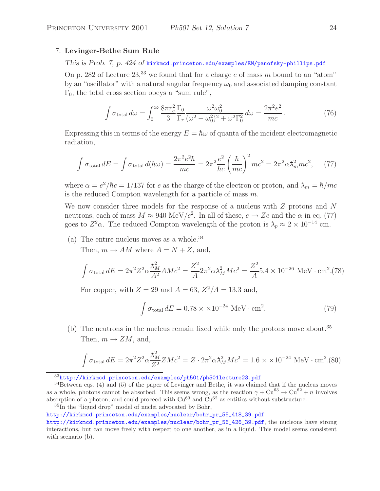## 7. **Levinger-Bethe Sum Rule**

## *This is Prob. 7, p. 424 of* kirkmcd.princeton.edu/examples/EM/panofsky-phillips.pdf

On p. 282 of Lecture  $23<sup>33</sup>$  we found that for a charge e of mass m bound to an "atom" by an "oscillator" with a natural angular frequency  $\omega_0$  and associated damping constant  $\Gamma_0$ , the total cross section obeys a "sum rule",

$$
\int \sigma_{\text{total}} d\omega = \int_0^\infty \frac{8\pi r_e^2}{3} \frac{\Gamma_0}{\Gamma_r} \frac{\omega^2 \omega_0^2}{(\omega^2 - \omega_0^2)^2 + \omega^2 \Gamma_0^2} d\omega = \frac{2\pi^2 e^2}{mc}.
$$
 (76)

Expressing this in terms of the energy  $E = \hbar \omega$  of quanta of the incident electromagnetic radiation,

$$
\int \sigma_{\text{total}} dE = \int \sigma_{\text{total}} d(\hbar \omega) = \frac{2\pi^2 e^2 \hbar}{mc} = 2\pi^2 \frac{e^2}{\hbar c} \left(\frac{\hbar}{mc}\right)^2 mc^2 = 2\pi^2 \alpha \lambda_m^2 mc^2, \quad (77)
$$

where  $\alpha = e^2/\hbar c = 1/137$  for e as the charge of the electron or proton, and  $\lambda_m = \hbar/mc$ is the reduced Compton wavelength for a particle of mass  $m$ .

We now consider three models for the response of a nucleus with  $Z$  protons and  $N$ neutrons, each of mass  $M \approx 940 \text{ MeV}/c^2$ . In all of these,  $e \to Ze$  and the  $\alpha$  in eq. (77) goes to  $Z^2\alpha$ . The reduced Compton wavelength of the proton is  $\lambda_p \approx 2 \times 10^{-14}$  cm.

(a) The entire nucleus moves as a whole.<sup>34</sup>

Then,  $m \to AM$  where  $A = N + Z$ , and,

$$
\int \sigma_{\text{total}} dE = 2\pi^2 Z^2 \alpha \frac{\lambda_M^2}{A^2} A M c^2 = \frac{Z^2}{A} 2\pi^2 \alpha \lambda_M^2 M c^2 = \frac{Z^2}{A} 5.4 \times 10^{-26} \text{ MeV} \cdot \text{cm}^2. (78)
$$

For copper, with  $Z = 29$  and  $A = 63$ ,  $Z^2/A = 13.3$  and,

$$
\int \sigma_{\text{total}} dE = 0.78 \times \times 10^{-24} \text{ MeV} \cdot \text{cm}^2. \tag{79}
$$

(b) The neutrons in the nucleus remain fixed while only the protons move about.<sup>35</sup> Then,  $m \to ZM$ , and,

$$
\int \sigma_{\text{total}} dE = 2\pi^2 Z^2 \alpha \frac{\lambda_M^2}{Z^2} ZMc^2 = Z \cdot 2\pi^2 \alpha \lambda_M^2 Mc^2 = 1.6 \times \times 10^{-24} \text{ MeV} \cdot \text{cm}^2. (80)
$$

<sup>35</sup>In the "liquid drop" model of nuclei advocated by Bohr,

http://kirkmcd.princeton.edu/examples/nuclear/bohr\_pr\_55\_418\_39.pdf

 $33$ http://kirkmcd.princeton.edu/examples/ph501/ph501lecture23.pdf

 $34$ Between eqs. (4) and (5) of the paper of Levinger and Bethe, it was claimed that if the nucleus moves as a whole, photons cannot be absorbed. This seems wrong, as the reaction  $\gamma + Cu^{63} \rightarrow Cu^{62} + n$  involves absorption of a photon, and could proceed with  $Cu^{63}$  and  $Cu^{62}$  as entities without substructure.

http://kirkmcd.princeton.edu/examples/nuclear/bohr\_pr\_56\_426\_39.pdf, the nucleons have strong interactions, but can move freely with respect to one another, as in a liquid. This model seems consistent with scenario (b).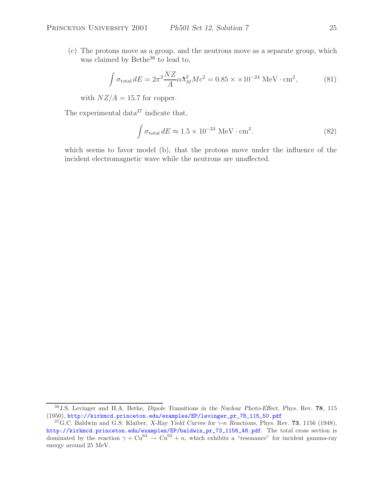(c) The protons move as a group, and the neutrons move as a separate group, which was claimed by Bethe<sup>36</sup> to lead to,

$$
\int \sigma_{\text{total}} dE = 2\pi^2 \frac{NZ}{A} \alpha \lambda_M^2 Mc^2 = 0.85 \times 10^{-24} \text{ MeV} \cdot \text{cm}^2,
$$
 (81)

with  $NZ/A = 15.7$  for copper.

The experimental data<sup>37</sup> indicate that,

$$
\int \sigma_{\text{total}} dE \approx 1.5 \times 10^{-24} \text{ MeV} \cdot \text{cm}^2. \tag{82}
$$

which seems to favor model (b), that the protons move under the influence of the incident electromagnetic wave while the neutrons are unaffected.

<sup>36</sup>J.S. Levinger and H.A. Bethe, *Dipole Transitions in the Nuclear Photo-Effect*, Phys. Rev. **78**, 115 (1950), http://kirkmcd.princeton.edu/examples/EP/levinger\_pr\_78\_115\_50.pdf

<sup>37</sup>G.C. Baldwin and G.S. Klaiber, *X-Ray Yield Curves for* γ*-*n *Reactions*, Phys. Rev. **73**, 1156 (1948), http://kirkmcd.princeton.edu/examples/EP/baldwin\_pr\_73\_1156\_48.pdf. The total cross section is dominated by the reaction  $\gamma + Cu^{63} \to Cu^{62} + n$ , which exhibits a "resonance" for incident gamma-ray energy around 25 MeV.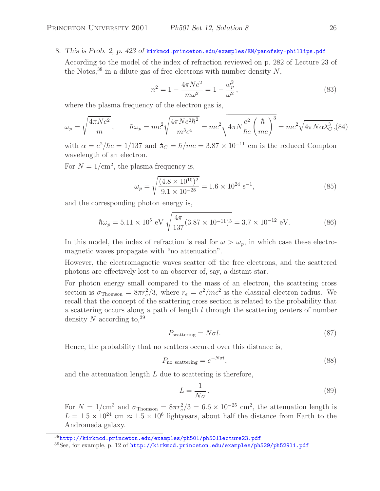8. *This is Prob. 2, p. 423 of* kirkmcd.princeton.edu/examples/EM/panofsky-phillips.pdf

According to the model of the index of refraction reviewed on p. 282 of Lecture 23 of the Notes,<sup>38</sup> in a dilute gas of free electrons with number density  $N$ ,

$$
n^2 = 1 - \frac{4\pi Ne^2}{m\omega^2} = 1 - \frac{\omega_p^2}{\omega^2},
$$
\n(83)

where the plasma frequency of the electron gas is,

$$
\omega_p = \sqrt{\frac{4\pi Ne^2}{m}}, \qquad \hbar\omega_p = mc^2 \sqrt{\frac{4\pi Ne^2\hbar^2}{m^3c^4}} = mc^2 \sqrt{4\pi N\frac{e^2}{\hbar c} \left(\frac{\hbar}{mc}\right)^3} = mc^2 \sqrt{4\pi N\alpha\lambda_C^3},
$$
(84)

with  $\alpha = e^2/\hbar c = 1/137$  and  $\lambda_C = \hbar/mc = 3.87 \times 10^{-11}$  cm is the reduced Compton wavelength of an electron.

For  $N = 1/\text{cm}^2$ , the plasma frequency is,

$$
\omega_p = \sqrt{\frac{(4.8 \times 10^{10})^2}{9.1 \times 10^{-28}}} = 1.6 \times 10^{24} \text{ s}^{-1},\tag{85}
$$

and the corresponding photon energy is,

$$
\hbar\omega_p = 5.11 \times 10^5 \text{ eV} \sqrt{\frac{4\pi}{137} (3.87 \times 10^{-11})^3} = 3.7 \times 10^{-12} \text{ eV}.
$$
 (86)

In this model, the index of refraction is real for  $\omega > \omega_p$ , in which case these electromagnetic waves propagate with "no attenuation".

However, the electromagnetic waves scatter off the free electrons, and the scattered photons are effectively lost to an observer of, say, a distant star.

For photon energy small compared to the mass of an electron, the scattering cross section is  $\sigma_{\text{Thomson}} = 8\pi r_e^2/3$ , where  $r_e = e^2/mc^2$  is the classical electron radius. We recall that the concept of the scattering cross section is related to the probability that a scattering occurs along a path of length l through the scattering centers of number density  $N$  according to,  $39$ 

$$
P_{\text{scattering}} = N\sigma l. \tag{87}
$$

Hence, the probability that no scatters occured over this distance is,

$$
P_{\text{no scattering}} = e^{-N\sigma l},\tag{88}
$$

and the attenuation length  $L$  due to scattering is therefore,

$$
L = \frac{1}{N\sigma} \,. \tag{89}
$$

For  $N = 1/\text{cm}^3$  and  $\sigma_{\text{Thomson}} = 8\pi r_e^2/3 = 6.6 \times 10^{-25} \text{ cm}^2$ , the attenuation length is  $L = 1.5 \times 10^{24}$  cm  $\approx 1.5 \times 10^{6}$  lightyears, about half the distance from Earth to the Andromeda galaxy.

<sup>38</sup>http://kirkmcd.princeton.edu/examples/ph501/ph501lecture23.pdf

<sup>39</sup>See, for example, p. 12 of http://kirkmcd.princeton.edu/examples/ph529/ph529l1.pdf